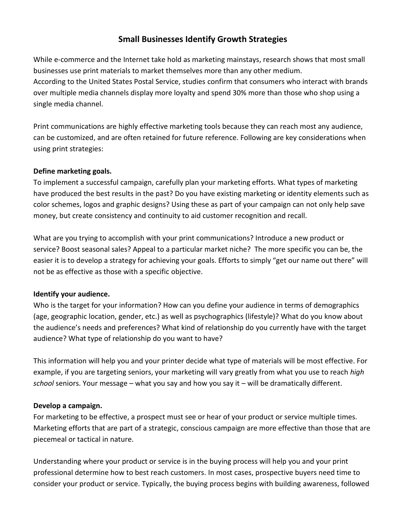# **Small Businesses Identify Growth Strategies**

While e-commerce and the Internet take hold as marketing mainstays, research shows that most small businesses use print materials to market themselves more than any other medium. According to the United States Postal Service, studies confirm that consumers who interact with brands over multiple media channels display more loyalty and spend 30% more than those who shop using a single media channel.

Print communications are highly effective marketing tools because they can reach most any audience, can be customized, and are often retained for future reference. Following are key considerations when using print strategies:

### **Define marketing goals.**

To implement a successful campaign, carefully plan your marketing efforts. What types of marketing have produced the best results in the past? Do you have existing marketing or identity elements such as color schemes, logos and graphic designs? Using these as part of your campaign can not only help save money, but create consistency and continuity to aid customer recognition and recall.

What are you trying to accomplish with your print communications? Introduce a new product or service? Boost seasonal sales? Appeal to a particular market niche? The more specific you can be, the easier it is to develop a strategy for achieving your goals. Efforts to simply "get our name out there" will not be as effective as those with a specific objective.

#### **Identify your audience.**

Who is the target for your information? How can you define your audience in terms of demographics (age, geographic location, gender, etc.) as well as psychographics (lifestyle)? What do you know about the audience's needs and preferences? What kind of relationship do you currently have with the target audience? What type of relationship do you want to have?

This information will help you and your printer decide what type of materials will be most effective. For example, if you are targeting seniors, your marketing will vary greatly from what you use to reach *high school* seniors. Your message – what you say and how you say it – will be dramatically different.

#### **Develop a campaign.**

For marketing to be effective, a prospect must see or hear of your product or service multiple times. Marketing efforts that are part of a strategic, conscious campaign are more effective than those that are piecemeal or tactical in nature.

Understanding where your product or service is in the buying process will help you and your print professional determine how to best reach customers. In most cases, prospective buyers need time to consider your product or service. Typically, the buying process begins with building awareness, followed